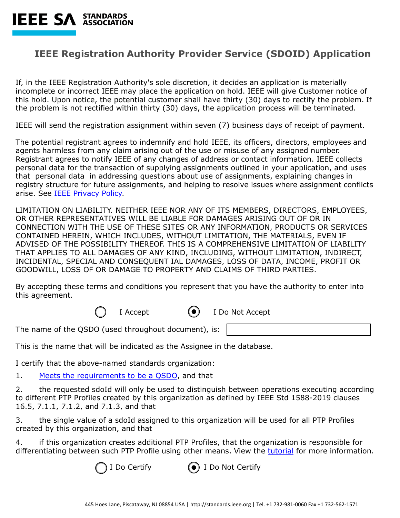

## **IEEE Registration Authority Provider Service (SDOID) Application**

If, in the IEEE Registration Authority's sole discretion, it decides an application is materially incomplete or incorrect IEEE may place the application on hold. IEEE will give Customer notice of this hold. Upon notice, the potential customer shall have thirty (30) days to rectify the problem. If the problem is not rectified within thirty (30) days, the application process will be terminated.

IEEE will send the registration assignment within seven (7) business days of receipt of payment.

The potential registrant agrees to indemnify and hold IEEE, its officers, directors, employees and agents harmless from any claim arising out of the use or misuse of any assigned number. Registrant agrees to notify IEEE of any changes of address or contact information. IEEE collects personal data for the transaction of supplying assignments outlined in your application, and uses that personal data in addressing questions about use of assignments, explaining changes in registry structure for future assignments, and helping to resolve issues where assignment conflicts arise. See [IEEE Privacy Policy.](https://www.ieee.org/security-privacy.html)

LIMITATION ON LIABILITY. NEITHER IEEE NOR ANY OF ITS MEMBERS, DIRECTORS, EMPLOYEES, OR OTHER REPRESENTATIVES WILL BE LIABLE FOR DAMAGES ARISING OUT OF OR IN CONNECTION WITH THE USE OF THESE SITES OR ANY INFORMATION, PRODUCTS OR SERVICES CONTAINED HEREIN, WHICH INCLUDES, WITHOUT LIMITATION, THE MATERIALS, EVEN IF ADVISED OF THE POSSIBILITY THEREOF. THIS IS A COMPREHENSIVE LIMITATION OF LIABILITY THAT APPLIES TO ALL DAMAGES OF ANY KIND, INCLUDING, WITHOUT LIMITATION, INDIRECT, INCIDENTAL, SPECIAL AND CONSEQUENT IAL DAMAGES, LOSS OF DATA, INCOME, PROFIT OR GOODWILL, LOSS OF OR DAMAGE TO PROPERTY AND CLAIMS OF THIRD PARTIES.

By accepting these terms and conditions you represent that you have the authority to enter into this agreement.

I Accept  $\bullet$  I Do Not Accept

The name of the QSDO (used throughout document), is:

This is the name that will be indicated as the Assignee in the database.

I certify that the above-named standards organization:

1. Me[ets the requirements to be a QSDO](https://standards.ieee.org/content/ieee-standards/en/products-services/regauth/sdoid/), and that

2. the requested sdoId will only be used to distinguish between operations executing according to different PTP Profiles created by this organization as defined by IEEE Std 1588-2019 clauses 16.5, 7.1.1, 7.1.2, and 7.1.3, and that

3. the single value of a sdoId assigned to this organization will be used for all PTP Profiles created by this organization, and that

4. if this organization creates additional PTP Profiles, that the organization is responsible for differentiating between such PTP Profile using other means. View the [tutorial](https://standards.ieee.org/content/dam/ieee-standards/standards/web/documents/tutorials/1588_tutorial.pdf) for more information.

I Do Certify **(** $\bullet$ ) I Do Not Certify